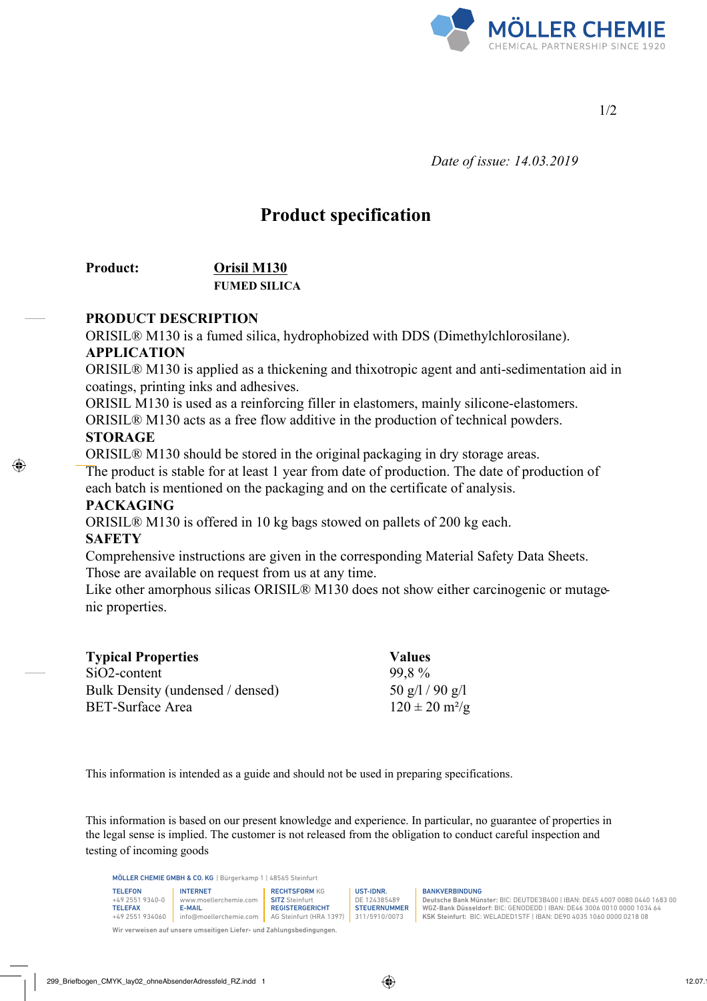

1/2

 *Date of issue: 14.03.2019*

# **Product specification**

## **Product: Orisil M130 FUMED SILICA**

#### **PRODUCT DESCRIPTION**

ORISIL® M130 is a fumed silica, hydrophobized with DDS (Dimethylchlorosilane).

#### **APPLICATION**

ORISIL® M130 is applied as a thickening and thixotropic agent and anti-sedimentation aid in coatings, printing inks and adhesives.

ORISIL M130 is used as a reinforcing filler in elastomers, mainly silicone-elastomers. ORISIL® M130 acts as a free flow additive in the production of technical powders. **STORAGE** 

ORISIL® M130 should be stored in the original packaging in dry storage areas. The product is stable for at least 1 year from date of production. The date of production of

each batch is mentioned on the packaging and on the certificate of analysis.

## **PACKAGING**

ORISIL® M130 is offered in 10 kg bags stowed on pallets of 200 kg each.

## **SAFETY**

Comprehensive instructions are given in the corresponding Material Safety Data Sheets. Those are available on request from us at any time.

Like other amorphous silicas ORISIL<sup>®</sup> M130 does not show either carcinogenic or mutagenic properties.

| <b>Typical Properties</b>        | <b>Values</b>                    |  |
|----------------------------------|----------------------------------|--|
| $SiO2$ -content                  | 99.8%                            |  |
| Bulk Density (undensed / densed) | $50 \frac{\text{g}}{1}$ / 90 g/l |  |
| <b>BET-Surface Area</b>          | $120 \pm 20$ m <sup>2</sup> /g   |  |

This information is intended as a guide and should not be used in preparing specifications.

This information is based on our present knowledge and experience. In particular, no guarantee of properties in the legal sense is implied. The customer is not released from the obligation to conduct careful inspection and testing of incoming goods

MÖLLER CHEMIE GMBH & CO. KG | Bürgerkamp 1 | 48565 Steinfurt

| <b>TELEFON</b>  | <b>INTERNET</b>        | <b>RECHTSFORM KG</b>    | UST-IDNR.          |
|-----------------|------------------------|-------------------------|--------------------|
| +49 2551 9340-0 | www.moellerchemie.com  | <b>SITZ</b> Steinfurt   | DE 124385489       |
| <b>TELEFAX</b>  | <b>E-MAIL</b>          | <b>REGISTERGERICHT</b>  | <b>STEUERNUMME</b> |
| +49 2551 934060 | info@moellerchemie.com | AG Steinfurt (HRA 1397) | 311/5910/0073      |

UST-IDNR. DE 124385489 **STEUERNUMMER** 

#### BANKVERBINDUNG

Deutsche Bank Münster: BIC: DEUTDE3B400 | IBAN: DE45 4007 0080 0440 1683 00 WGZ-Bank Düsseldorf: BIC: GENODEDD | IBAN: DE46 3006 0010 0000 1034 64 KSK Steinfurt: BIC: WELADED1STF | IBAN: DE90 4035 1060 0000 0218 08

Wir verweisen auf unsere umseitigen Liefer- und Zahlungsbedingungen.